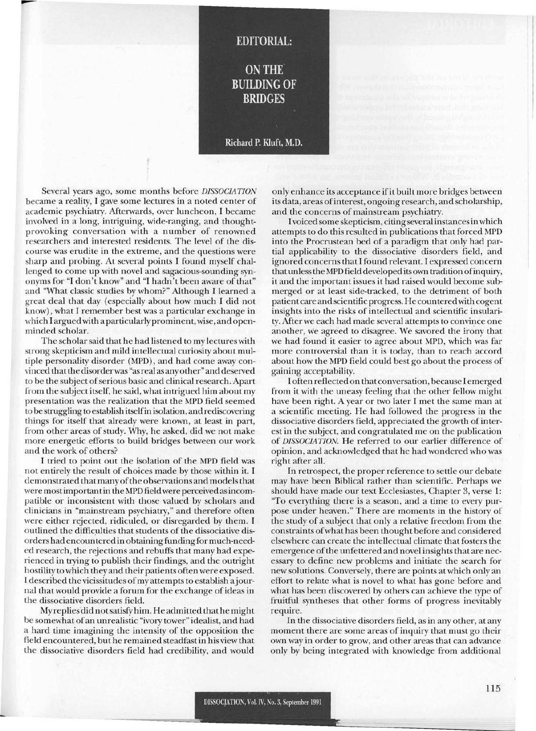## **EDITORIAL:**

**ON THE BUILDING OF BRIDGES** 

## Richard P. Kluft, M.D.

Several years ago, some months before *DISSOCIATION* became a reality, I gave some lectures in a noted center of academic psychiatry. Mterwards, over luncheon, I became involved in a long, intriguing, wide-ranging, and thoughtprovoking conversation with a number of renowned researchers and interested residents. The level of the discourse was erudite in the extreme, and the questions were sharp and probing. At several points I found myself challenged to come up with novel and sagacious-sounding synonyms for "I don't know" and "I hadn't been aware of that" and "What classic studies by whom?" Although I learned a great deal that day (especially about how much I did not know), what I remember best was a particular exchange in which I arguedwith a particularly prominent, wise, and openminded scholar.

-

The scholar said that he had listened to my lectures with strong skepticism and mild intellectual curiosity about multiple personality disorder (MPD), and had come away convinced that the disorder was "asreal as anyother" and deserved to be the subject of serious basic and clinical research. Apart from the subject itself, he said, what intrigued him about my presentation was the realization that the MPD field seemed to be struggling to establish itselfin isolation, and rediscovering things for itself that already were known, at least in part, from other areas of study. Why, he asked, did we not make more energetic efforts to build bridges between our work and the work of others?

I tried to point out the isolation of the MPD field was not entirely the result of choices made by those within it. I demonstrated that many of the observations and models that were mostimportantin the MPD field were perceived asincompatible or inconsistent with those valued by scholars and clinicians in "mainstream psychiatry," and therefore often were either rejected, ridiculed, or disregarded by them. I outlined the difficulties that students of the dissociative disorders had encountered in obtaining funding for much-needed research, the rejections and rebuffs that many had experienced in trying to publish their findings, and the outright hostility to which they and their patients often were exposed. I described the vicissitudes of my attempts to establish a journal that would provide a forum for the exchange ofideas in the dissociative disorders field.

My replies did notsatisfy him. He admitted that he might be somewhat ofan unrealistic "ivory tower" idealist, and had a hard time imagining the intensity of the opposition the field encountered, buthe remained steadfast in his view that the dissociative disorders field had credibility, and would

only enhance its acceptance ifit built more bridges between its data, areas ofinterest, ongoing research, and scholarship, and the concerns of mainstream psychiatry.

I voiced some skepticism, citing several instancesinwhich attempts to do this resulted in publications that forced MPD into the Procrustean bed of a paradigm that only had partial applicability to the dissociative disorders field, and ignored concerns that I found relevant. I expressed concern thatunless the MPD field developed its own tradition ofinquiry, it and the important issues it had raised would become submerged or at least side-tracked, to the detriment of both patient care and scientific progress. He countered with cogent insights into the risks of intellectual and scientific insulari ty. After we each had made several attempts to convince one another, we agreed to disagree. We savored the irony that we had found it easier to agree about MPD, which was far more controversial than it is today, than to reach accord about how the MPD field could best go about the process of gaining acceptability.

I often reflected on that conversation, because I emerged from it with the uneasy feeling that the other fellow might have been right. A year or two later I met the same man at a scientific meeting. He had followed the progress in the dissociative disorders field, appreciated the growth of interest in the subject, and congratulated me on the publication of *DISSOCIATION.* He referred to our earlier difference of opinion, and acknowledged that he had wondered who was right after all.

**In** retrospect, the proper reference to settle our debate may have been Biblical rather than scientific. Perhaps we should have made our text Ecclesiastes, Chapter 3, verse 1: "To everything there is a season, and a time to every purpose under heaven." There are moments in the history of the study of a subject that only a relative freedom from the constraints ofwhat has been thought before and considered elsewhere can create the intellectual climate that fosters the emergence ofthe unfettered and novel insights that are necessary to define new problems and initiate the search for new solutions. Conversely, there are points at which only an effort to relate what is novel to what has gone before and what has been discovered by others can achieve the type of fruitful syntheses that other forms of progress inevitably require.

**In** the dissociative disorders field, as in any other, at any moment there are some areas of inquiry that must go their own way in order to grow, and other areas that can advance only by being integrated with knowledge from additional